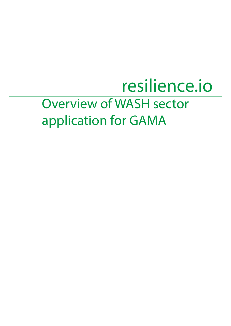## Overview of WASH sector application for GAMA resilience.io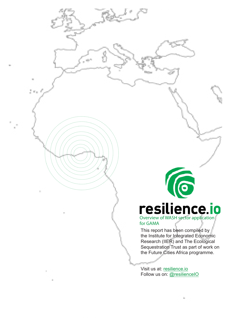# **COVER SILIENCE. 10**

for GAMA

This report has been compiled by the Institute for Integrated Economic Research (IIER) and The Ecological Sequestration Trust as part of work on the Future Cities Africa programme.

Visit us at: resilience.io Follow us on: @resilienceIO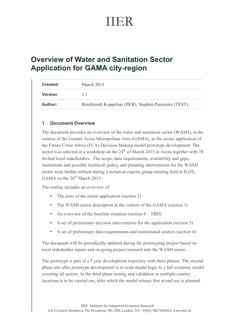## IIER

### **Overview of Water and Sanitation Sector Application for GAMA city-region**

| Created:       | March 2015                                          |
|----------------|-----------------------------------------------------|
| <b>Version</b> | $\perp$                                             |
| Author:        | Rembrandt Koppelaar (IIER), Stephen Passmore (TEST) |

#### **1. Document Overview**

The document provides an overview of the water and sanitation sector (WASH), in the context of the Greater Accra Metropolitan Area (GAMA), as the sector application of the Future Cities Africa (FCA) Decision-Making model prototype development. The sector was selected at a workshop on the  $24<sup>th</sup>$  of March 2015 in Accra together with 78 invited local stakeholders. The scope, data requirements, availability and gaps, institutions and possible technical, policy and planning interventions for the WASH sector were further refined during a technical experts group meeting held at ILGS, GAMA on the  $26^{th}$  March 2015.

The outline includes an overview of:

- The aims of the sector application (section 2)
- The WASH sector description in the context of the GAMA (section 3)
- An overview of the baseline situation (section 4 TBD)
- A set of preliminary decision interventions for the application (section 5)
- A set of preliminary data requirements and institutional sources (section 6)

The document will be periodically updated during the prototyping project based on local stakeholder inputs and on-going project research into the WASH sector.

The prototype is part of a 5 year development trajectory with three phases. The second phase aim after prototype development is to scale model logic to a full economy model covering all sectors. In the third phase testing and validation in multiple country locations is to be carried out, after which the model release free at end use is planned.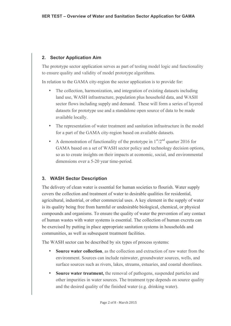#### **2. Sector Application Aim**

The prototype sector application serves as part of testing model logic and functionality to ensure quality and validity of model prototype algorithms.

In relation to the GAMA city-region the sector application is to provide for:

- The collection, harmonization, and integration of existing datasets including land use, WASH infrastructure, population plus household data, and WASH sector flows including supply and demand. These will form a series of layered datasets for prototype use and a standalone open source of data to be made available locally.
- The representation of water treatment and sanitation infrastructure in the model for a part of the GAMA city-region based on available datasets.
- A demonstration of functionality of the prototype in  $1<sup>st</sup>/2<sup>nd</sup>$  quarter 2016 for GAMA based on a set of WASH sector policy and technology decision options, so as to create insights on their impacts at economic, social, and environmental dimensions over a 5-20 year time-period.

#### **3. WASH Sector Description**

The delivery of clean water is essential for human societies to flourish. Water supply covers the collection and treatment of water to desirable qualities for residential, agricultural, industrial, or other commercial uses. A key element in the supply of water is its quality being free from harmful or undesirable biological, chemical, or physical compounds and organisms. To ensure the quality of water the prevention of any contact of human wastes with water systems is essential. The collection of human excreta can be exercised by putting in place appropriate sanitation systems in households and communities, as well as subsequent treatment facilities.

The WASH sector can be described by six types of process systems:

- **Source water collection**, as the collection and extraction of raw water from the environment. Sources can include rainwater, groundwater sources, wells, and surface sources such as rivers, lakes, streams, estuaries, and coastal shorelines.
- **Source water treatment,** the removal of pathogens, suspended particles and other impurities in water sources. The treatment type depends on source quality and the desired quality of the finished water (e.g. drinking water).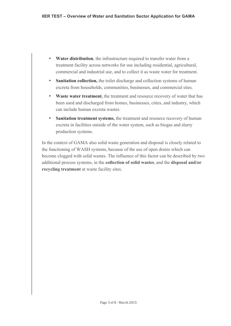- **Water distribution**, the infrastructure required to transfer water from a treatment facility across networks for use including residential, agricultural, commercial and industrial use, and to collect it as waste water for treatment.
- **Sanitation collection,** the toilet discharge and collection systems of human excreta from households, communities, businesses, and commercial sites.
- **Waste water treatment,** the treatment and resource recovery of water that has been used and discharged from homes, businesses, cities, and industry, which can include human excreta wastes.
- Sanitation treatment systems, the treatment and resource recovery of human excreta in facilities outside of the water system, such as biogas and slurry production systems.

In the context of GAMA also solid waste generation and disposal is closely related to the functioning of WASH systems, because of the use of open drains which can become clogged with solid wastes. The influence of this factor can be described by two additional process systems, in the **collection of solid wastes**, and the **disposal and/or recycling treatment** at waste facility sites.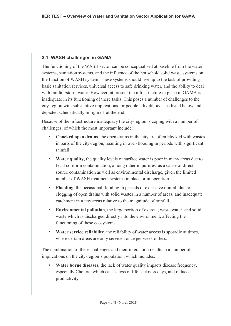#### **3.1 WASH challenges in GAMA**

The functioning of the WASH sector can be conceptualised at baseline from the water systems, sanitation systems, and the influence of the household solid waste systems on the function of WASH system. These systems should live up to the task of providing basic sanitation services, universal access to safe drinking water, and the ability to deal with rainfall/storm water. However, at present the infrastructure in place in GAMA is inadequate in its functioning of these tasks. This poses a number of challenges to the city-region with substantive implications for people's livelihoods, as listed below and depicted schematically in figure 1 at the end.

Because of the infrastructure inadequacy the city-region is coping with a number of challenges, of which the most important include:

- **Chocked open drains**, the open drains in the city are often blocked with wastes in parts of the city-region, resulting in over-flooding in periods with significant rainfall.
- **Water quality**, the quality levels of surface water is poor in many areas due to fecal coliform contamination, among other impurities, as a cause of direct source contamination as well as environmental discharge, given the limited number of WASH treatment systems in place or in operation
- **Flooding,** the occasional flooding in periods of excessive rainfall due to clogging of open drains with solid wastes in a number of areas, and inadequate catchment in a few areas relative to the magnitude of rainfall.
- **Environmental pollution**, the large portion of excreta, waste water, and solid waste which is discharged directly into the environment, affecting the functioning of these ecosystems.
- **Water service reliability, the reliability of water access is sporadic at times,** where certain areas are only serviced once per week or less.

The combination of these challenges and their interaction results in a number of implications on the city-region's population, which includes:

• **Water borne diseases**, the lack of water quality impacts disease frequency, especially Cholera, which causes loss of life, sickness days, and reduced productivity.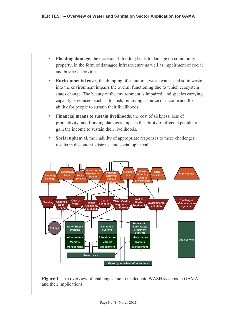- **Flooding damage**, the occasional flooding leads to damage on community property, in the form of damaged infrastructure as well as impairment of social and business activities.
- **Environmental costs**, the dumping of sanitation, waste water, and solid waste into the environment impairs the overall functioning due to which ecosystem states change. The beauty of the environment is impaired, and species carrying capacity is reduced, such as for fish, removing a source of income and the ability for people to sustain their livelihoods.
- **Financial means to sustain livelihoods**, the cost of sickness, loss of productivity, and flooding damages impacts the ability of affected people to gain the income to sustain their livelihoods.
- **Social upheaval,** the inability of appropriate responses to these challenges results in discontent, distress, and social upheaval.



**Figure 1** – An overview of challenges due to inadequate WASH systems in GAMA and their implications.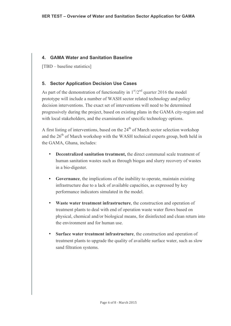#### **4. GAMA Water and Sanitation Baseline**

[TBD – baseline statistics]

#### **5. Sector Application Decision Use Cases**

As part of the demonstration of functionality in  $1<sup>st</sup>/2<sup>nd</sup>$  quarter 2016 the model prototype will include a number of WASH sector related technology and policy decision interventions. The exact set of interventions will need to be determined progressively during the project, based on existing plans in the GAMA city-region and with local stakeholders, and the examination of specific technology options.

A first listing of interventions, based on the  $24<sup>th</sup>$  of March sector selection workshop and the  $26<sup>th</sup>$  of March workshop with the WASH technical experts group, both held in the GAMA, Ghana, includes:

- **Decentralized sanitation treatment,** the direct communal scale treatment of human sanitation wastes such as through biogas and slurry recovery of wastes in a bio-digester.
- **Governance**, the implications of the inability to operate, maintain existing infrastructure due to a lack of available capacities, as expressed by key performance indicators simulated in the model.
- **Waste water treatment infrastructure**, the construction and operation of treatment plants to deal with end of operation waste water flows based on physical, chemical and/or biological means, for disinfected and clean return into the environment and for human use.
- **Surface water treatment infrastructure**, the construction and operation of treatment plants to upgrade the quality of available surface water, such as slow sand filtration systems.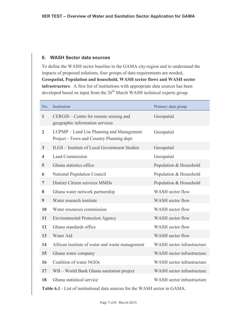#### **6. WASH Sector data sources**

To define the WASH sector baseline in the GAMA city-region and to understand the impacts of proposed solutions, four groups of data requirements are needed, **Geospatial, Population and household, WASH sector flows and WASH sector infrastructure**. A first list of institutions with appropriate data sources has been developed based on input from the 26<sup>th</sup> March WASH technical experts group.

| No.                     | Institution                                                                                                                                                                                                                                                                                                   | Primary data group                |
|-------------------------|---------------------------------------------------------------------------------------------------------------------------------------------------------------------------------------------------------------------------------------------------------------------------------------------------------------|-----------------------------------|
| $\mathbf{1}$            | CERGIS – Centre for remote sensing and<br>geographic information services                                                                                                                                                                                                                                     | Geospatial                        |
| $\overline{2}$          | LUPMP – Land Use Planning and Management<br>Project - Town and Country Planning dept.                                                                                                                                                                                                                         | Geospatial                        |
| $\overline{\mathbf{3}}$ | <b>ILGS</b> – Institute of Local Government Studies                                                                                                                                                                                                                                                           | Geospatial                        |
| $\overline{\mathbf{4}}$ | <b>Land Commission</b>                                                                                                                                                                                                                                                                                        | Geospatial                        |
| 5 <sup>5</sup>          | Ghana statistics office                                                                                                                                                                                                                                                                                       | Population & Household            |
| 6                       | <b>National Population Council</b>                                                                                                                                                                                                                                                                            | Population & Household            |
| $\overline{7}$          | District Citizen services MMDs                                                                                                                                                                                                                                                                                | Population & Household            |
| 8                       | Ghana water network partnership                                                                                                                                                                                                                                                                               | WASH sector flow                  |
| $\boldsymbol{9}$        | Water research institute                                                                                                                                                                                                                                                                                      | WASH sector flow                  |
| 10                      | Water resources commission                                                                                                                                                                                                                                                                                    | WASH sector flow                  |
| 11                      | <b>Environmental Protection Agency</b>                                                                                                                                                                                                                                                                        | WASH sector flow                  |
| 12                      | Ghana standards office                                                                                                                                                                                                                                                                                        | WASH sector flow                  |
| 13                      | Water Aid                                                                                                                                                                                                                                                                                                     | WASH sector flow                  |
| 14                      | African institute of water and waste management                                                                                                                                                                                                                                                               | WASH sector infrastructure        |
| 15                      | Ghana water company                                                                                                                                                                                                                                                                                           | WASH sector infrastructure        |
| 16                      | Coalition of water NGOs                                                                                                                                                                                                                                                                                       | WASH sector infrastructure        |
| 17                      | WB – World Bank Ghana sanitation project                                                                                                                                                                                                                                                                      | WASH sector infrastructure        |
| 18                      | Ghana statistical service                                                                                                                                                                                                                                                                                     | WASH sector infrastructure        |
|                         | $\mathbf{r}$ , and $\mathbf{r}$ , $\mathbf{r}$ , $\mathbf{r}$ , $\mathbf{r}$ , $\mathbf{r}$ , $\mathbf{r}$ , $\mathbf{r}$ , $\mathbf{r}$ , $\mathbf{r}$ , $\mathbf{r}$ , $\mathbf{r}$ , $\mathbf{r}$ , $\mathbf{r}$ , $\mathbf{r}$ , $\mathbf{r}$ , $\mathbf{r}$ , $\mathbf{r}$ , $\mathbf{r}$ , $\mathbf{r}$ | $\alpha$ d WILCUT $\alpha$ cancel |

**Table 6.1** - List of institutional data sources for the WASH sector in GAMA.